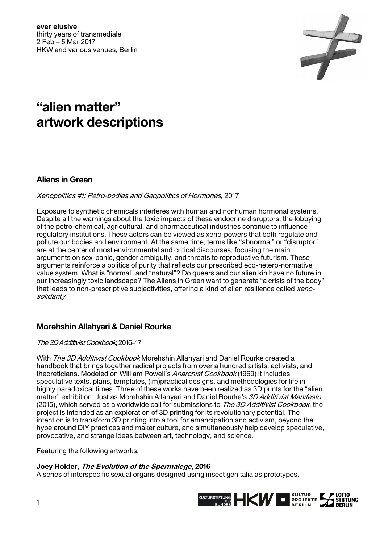

# **"alien matter" artwork descriptions**

# **Aliens in Green**

# Xenopolitics #1: Petro-bodies and Geopolitics of Hormones, 2017

Exposure to synthetic chemicals interferes with human and nonhuman hormonal systems. Despite all the warnings about the toxic impacts of these endocrine disruptors, the lobbying of the petro-chemical, agricultural, and pharmaceutical industries continue to influence regulatory institutions. These actors can be viewed as xeno-powers that both regulate and pollute our bodies and environment. At the same time, terms like "abnormal" or "disruptor" are at the center of most environmental and critical discourses, focusing the main arguments on sex-panic, gender ambiguity, and threats to reproductive futurism. These arguments reinforce a politics of purity that reflects our prescribed eco-hetero-normative value system. What is "normal" and "natural"? Do queers and our alien kin have no future in our increasingly toxic landscape? The Aliens in Green want to generate "a crisis of the body" that leads to non-prescriptive subjectivities, offering a kind of alien resilience called xenosolidarity.

# **Morehshin Allahyari & Daniel Rourke**

The 3D Additivist Cookbook, 2016–17

With *The 3D Additivist Cookbook* Morehshin Allahyari and Daniel Rourke created a handbook that brings together radical projects from over a hundred artists, activists, and theoreticians. Modeled on William Powell's Anarchist Cookbook (1969) it includes speculative texts, plans, templates, (im)practical designs, and methodologies for life in highly paradoxical times. Three of these works have been realized as 3D prints for the "alien matter" exhibition. Just as Morehshin Allahyari and Daniel Rourke's 3D Additivist Manifesto (2015), which served as a worldwide call for submissions to The 3D Additivist Cookbook, the project is intended as an exploration of 3D printing for its revolutionary potential. The intention is to transform 3D printing into a tool for emancipation and activism, beyond the hype around DIY practices and maker culture, and simultaneously help develop speculative, provocative, and strange ideas between art, technology, and science.

Featuring the following artworks:

# **Joey Holder, The Evolution of the Spermalege, 2016**

A series of interspecific sexual organs designed using insect genitalia as prototypes.

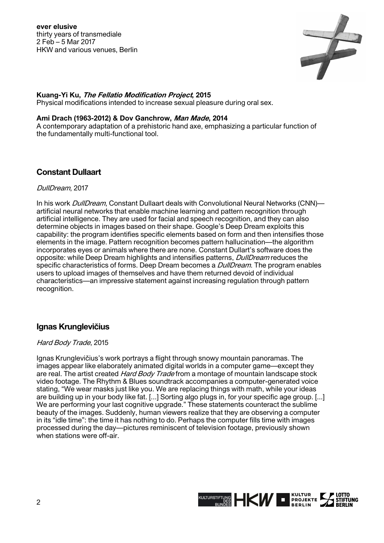

## **Kuang-Yi Ku, The Fellatio Modification Project, 2015**

Physical modifications intended to increase sexual pleasure during oral sex.

#### **Ami Drach (1963-2012) & Dov Ganchrow, Man Made, 2014**

A contemporary adaptation of a prehistoric hand axe, emphasizing a particular function of the fundamentally multi-functional tool.

# **Constant Dullaart**

#### DullDream, 2017

In his work *DullDream*, Constant Dullaart deals with Convolutional Neural Networks (CNN) artificial neural networks that enable machine learning and pattern recognition through artificial intelligence. They are used for facial and speech recognition, and they can also determine objects in images based on their shape. Google's Deep Dream exploits this capability: the program identifies specific elements based on form and then intensifies those elements in the image. Pattern recognition becomes pattern hallucination—the algorithm incorporates eyes or animals where there are none. Constant Dullart's software does the opposite: while Deep Dream highlights and intensifies patterns, *DullDream* reduces the specific characteristics of forms. Deep Dream becomes a *DullDream*. The program enables users to upload images of themselves and have them returned devoid of individual characteristics—an impressive statement against increasing regulation through pattern recognition.

# **Ignas Krunglevičius**

#### Hard Body Trade, 2015

Ignas Krunglevičius's work portrays a flight through snowy mountain panoramas. The images appear like elaborately animated digital worlds in a computer game—except they are real. The artist created *Hard Body Trade* from a montage of mountain landscape stock video footage. The Rhythm & Blues soundtrack accompanies a computer-generated voice stating, "We wear masks just like you. We are replacing things with math, while your ideas are building up in your body like fat. [...] Sorting algo plugs in, for your specific age group. [...] We are performing your last cognitive upgrade." These statements counteract the sublime beauty of the images. Suddenly, human viewers realize that they are observing a computer in its "idle time": the time it has nothing to do. Perhaps the computer fills time with images processed during the day—pictures reminiscent of television footage, previously shown when stations were off-air.

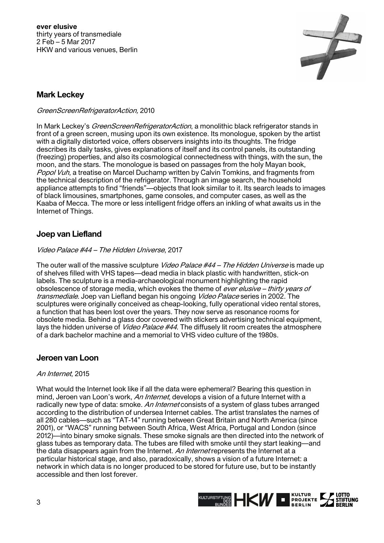

# **Mark Leckey**

#### GreenScreenRefrigeratorAction, 2010

In Mark Leckey's *GreenScreenRefrigeratorAction*, a monolithic black refrigerator stands in front of a green screen, musing upon its own existence. Its monologue, spoken by the artist with a digitally distorted voice, offers observers insights into its thoughts. The fridge describes its daily tasks, gives explanations of itself and its control panels, its outstanding (freezing) properties, and also its cosmological connectedness with things, with the sun, the moon, and the stars. The monologue is based on passages from the holy Mayan book, Popol Vuh, a treatise on Marcel Duchamp written by Calvin Tomkins, and fragments from the technical description of the refrigerator. Through an image search, the household appliance attempts to find "friends"—objects that look similar to it. Its search leads to images of black limousines, smartphones, game consoles, and computer cases, as well as the Kaaba of Mecca. The more or less intelligent fridge offers an inkling of what awaits us in the Internet of Things.

# **Joep van Liefland**

## Video Palace #44 – The Hidden Universe, 2017

The outer wall of the massive sculpture *Video Palace #44 – The Hidden Universe* is made up of shelves filled with VHS tapes—dead media in black plastic with handwritten, stick-on labels. The sculpture is a media-archaeological monument highlighting the rapid obsolescence of storage media, which evokes the theme of ever elusive – thirty years of transmediale. Joep van Liefland began his ongoing *Video Palace* series in 2002. The sculptures were originally conceived as cheap-looking, fully operational video rental stores, a function that has been lost over the years. They now serve as resonance rooms for obsolete media. Behind a glass door covered with stickers advertising technical equipment, lays the hidden universe of *Video Palace #44*. The diffusely lit room creates the atmosphere of a dark bachelor machine and a memorial to VHS video culture of the 1980s.

## **Jeroen van Loon**

## An Internet, 2015

What would the Internet look like if all the data were ephemeral? Bearing this question in mind, Jeroen van Loon's work, An Internet, develops a vision of a future Internet with a radically new type of data: smoke. An Internet consists of a system of glass tubes arranged according to the distribution of undersea Internet cables. The artist translates the names of all 280 cables—such as "TAT-14" running between Great Britain and North America (since 2001), or "WACS" running between South Africa, West Africa, Portugal and London (since 2012)—into binary smoke signals. These smoke signals are then directed into the network of glass tubes as temporary data. The tubes are filled with smoke until they start leaking—and the data disappears again from the Internet. An Internet represents the Internet at a particular historical stage, and also, paradoxically, shows a vision of a future Internet: a network in which data is no longer produced to be stored for future use, but to be instantly accessible and then lost forever.

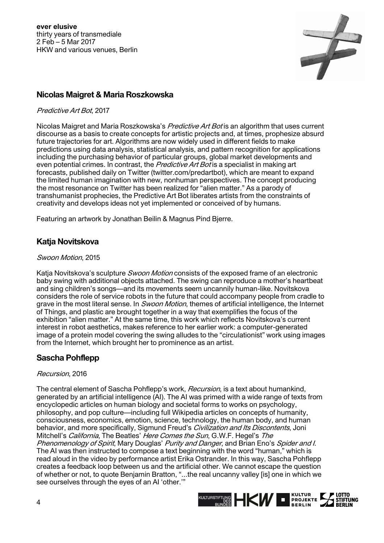

# **Nicolas Maigret & Maria Roszkowska**

## Predictive Art Bot, 2017

Nicolas Maigret and Maria Roszkowska's Predictive Art Bot is an algorithm that uses current discourse as a basis to create concepts for artistic projects and, at times, prophesize absurd future trajectories for art. Algorithms are now widely used in different fields to make predictions using data analysis, statistical analysis, and pattern recognition for applications including the purchasing behavior of particular groups, global market developments and even potential crimes. In contrast, the Predictive Art Bot is a specialist in making art forecasts, published daily on Twitter (twitter.com/predartbot), which are meant to expand the limited human imagination with new, nonhuman perspectives. The concept producing the most resonance on Twitter has been realized for "alien matter." As a parody of transhumanist prophecies, the Predictive Art Bot liberates artists from the constraints of creativity and develops ideas not yet implemented or conceived of by humans.

Featuring an artwork by Jonathan Beilin & Magnus Pind Bjerre.

# **Katja Novitskova**

## Swoon Motion, 2015

Katia Novitskova's sculpture *Swoon Motion* consists of the exposed frame of an electronic baby swing with additional objects attached. The swing can reproduce a mother's heartbeat and sing children's songs—and its movements seem uncannily human-like. Novitskova considers the role of service robots in the future that could accompany people from cradle to grave in the most literal sense. In *Swoon Motion*, themes of artificial intelligence, the Internet of Things, and plastic are brought together in a way that exemplifies the focus of the exhibition "alien matter." At the same time, this work which reflects Novitskova's current interest in robot aesthetics, makes reference to her earlier work: a computer-generated image of a protein model covering the swing alludes to the "circulationist" work using images from the Internet, which brought her to prominence as an artist.

# **Sascha Pohflepp**

## Recursion, 2016

The central element of Sascha Pohflepp's work, *Recursion*, is a text about humankind, generated by an artificial intelligence (AI). The AI was primed with a wide range of texts from encyclopedic articles on human biology and societal forms to works on psychology, philosophy, and pop culture—including full Wikipedia articles on concepts of humanity, consciousness, economics, emotion, science, technology, the human body, and human behavior, and more specifically, Sigmund Freud's *Civilization and Its Discontents*, Joni Mitchell's *California*, The Beatles' Here Comes the Sun, G.W.F. Hegel's The Phenomenology of Spirit, Mary Douglas' Purity and Danger, and Brian Eno's Spider and I. The AI was then instructed to compose a text beginning with the word "human," which is read aloud in the video by performance artist Erika Ostrander. In this way, Sascha Pohflepp creates a feedback loop between us and the artificial other. We cannot escape the question of whether or not, to quote Benjamin Bratton, "...the real uncanny valley [is] one in which we see ourselves through the eyes of an AI 'other.'"

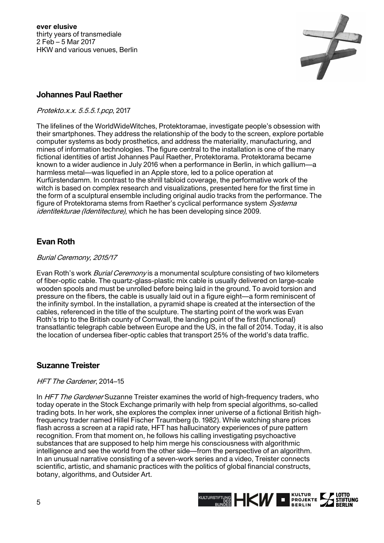

# **Johannes Paul Raether**

Protekto.x.x. 5.5.5.1.pcp, 2017

The lifelines of the WorldWideWitches, Protektoramae, investigate people's obsession with their smartphones. They address the relationship of the body to the screen, explore portable computer systems as body prosthetics, and address the materiality, manufacturing, and mines of information technologies. The figure central to the installation is one of the many fictional identities of artist Johannes Paul Raether, Protektorama. Protektorama became known to a wider audience in July 2016 when a performance in Berlin, in which gallium—a harmless metal—was liquefied in an Apple store, led to a police operation at Kurfürstendamm. In contrast to the shrill tabloid coverage, the performative work of the witch is based on complex research and visualizations, presented here for the first time in the form of a sculptural ensemble including original audio tracks from the performance. The figure of Protektorama stems from Raether's cyclical performance system Systema identitekturae (Identitecture), which he has been developing since 2009.

# **Evan Roth**

## Burial Ceremony, 2015/17

Evan Roth's work *Burial Ceremony* is a monumental sculpture consisting of two kilometers of fiber-optic cable. The quartz-glass-plastic mix cable is usually delivered on large-scale wooden spools and must be unrolled before being laid in the ground. To avoid torsion and pressure on the fibers, the cable is usually laid out in a figure eight—a form reminiscent of the infinity symbol. In the installation, a pyramid shape is created at the intersection of the cables, referenced in the title of the sculpture. The starting point of the work was Evan Roth's trip to the British county of Cornwall, the landing point of the first (functional) transatlantic telegraph cable between Europe and the US, in the fall of 2014. Today, it is also the location of undersea fiber-optic cables that transport 25% of the world's data traffic.

# **Suzanne Treister**

## HFT The Gardener, 2014–15

In HFT The Gardener Suzanne Treister examines the world of high-frequency traders, who today operate in the Stock Exchange primarily with help from special algorithms, so-called trading bots. In her work, she explores the complex inner universe of a fictional British highfrequency trader named Hillel Fischer Traumberg (b. 1982). While watching share prices flash across a screen at a rapid rate, HFT has hallucinatory experiences of pure pattern recognition. From that moment on, he follows his calling investigating psychoactive substances that are supposed to help him merge his consciousness with algorithmic intelligence and see the world from the other side—from the perspective of an algorithm. In an unusual narrative consisting of a seven-work series and a video, Treister connects scientific, artistic, and shamanic practices with the politics of global financial constructs, botany, algorithms, and Outsider Art.

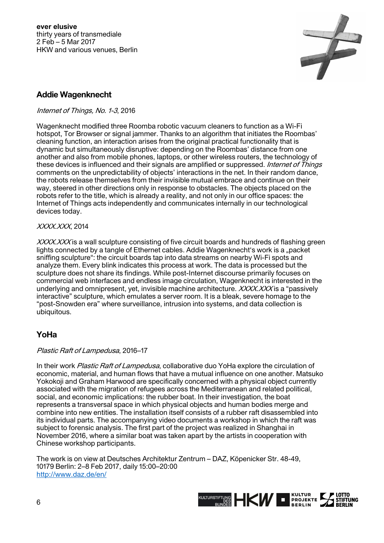

# **Addie Wagenknecht**

## Internet of Things, No. 1-3, 2016

Wagenknecht modified three Roomba robotic vacuum cleaners to function as a Wi-Fi hotspot, Tor Browser or signal jammer. Thanks to an algorithm that initiates the Roombas' cleaning function, an interaction arises from the original practical functionality that is dynamic but simultaneously disruptive: depending on the Roombas' distance from one another and also from mobile phones, laptops, or other wireless routers, the technology of these devices is influenced and their signals are amplified or suppressed. *Internet of Things* comments on the unpredictability of objects' interactions in the net. In their random dance, the robots release themselves from their invisible mutual embrace and continue on their way, steered in other directions only in response to obstacles. The objects placed on the robots refer to the title, which is already a reality, and not only in our office spaces: the Internet of Things acts independently and communicates internally in our technological devices today.

#### XXXX.XXX, 2014

XXXXXXX is a wall sculpture consisting of five circuit boards and hundreds of flashing green lights connected by a tangle of Ethernet cables. Addie Wagenknecht's work is a "packet sniffing sculpture": the circuit boards tap into data streams on nearby Wi-Fi spots and analyze them. Every blink indicates this process at work. The data is processed but the sculpture does not share its findings. While post-Internet discourse primarily focuses on commercial web interfaces and endless image circulation, Wagenknecht is interested in the underlying and omnipresent, yet, invisible machine architecture.  $XXXXXXX$  is a "passively interactive" sculpture, which emulates a server room. It is a bleak, severe homage to the "post-Snowden era" where surveillance, intrusion into systems, and data collection is ubiquitous.

# **YoHa**

## Plastic Raft of Lampedusa, 2016–17

In their work Plastic Raft of Lampedusa, collaborative duo YoHa explore the circulation of economic, material, and human flows that have a mutual influence on one another. Matsuko Yokokoji and Graham Harwood are specifically concerned with a physical object currently associated with the migration of refugees across the Mediterranean and related political, social, and economic implications: the rubber boat. In their investigation, the boat represents a transversal space in which physical objects and human bodies merge and combine into new entities. The installation itself consists of a rubber raft disassembled into its individual parts. The accompanying video documents a workshop in which the raft was subject to forensic analysis. The first part of the project was realized in Shanghai in November 2016, where a similar boat was taken apart by the artists in cooperation with Chinese workshop participants.

The work is on view at Deutsches Architektur Zentrum – DAZ, Köpenicker Str. 48-49, 10179 Berlin: 2–8 Feb 2017, daily 15:00–20:00 http://www.daz.de/en/

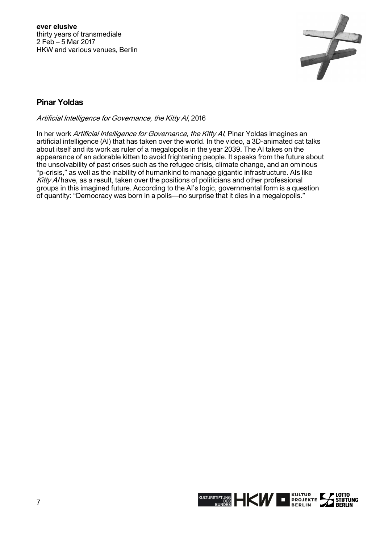

# **Pinar Yoldas**

Artificial Intelligence for Governance, the Kitty AI, 2016

In her work Artificial Intelligence for Governance, the Kitty AI, Pinar Yoldas imagines an artificial intelligence (AI) that has taken over the world. In the video, a 3D-animated cat talks about itself and its work as ruler of a megalopolis in the year 2039. The AI takes on the appearance of an adorable kitten to avoid frightening people. It speaks from the future about the unsolvability of past crises such as the refugee crisis, climate change, and an ominous "p-crisis," as well as the inability of humankind to manage gigantic infrastructure. AIs like  $Kitv$  A/have, as a result, taken over the positions of politicians and other professional groups in this imagined future. According to the AI's logic, governmental form is a question of quantity: "Democracy was born in a polis—no surprise that it dies in a megalopolis."

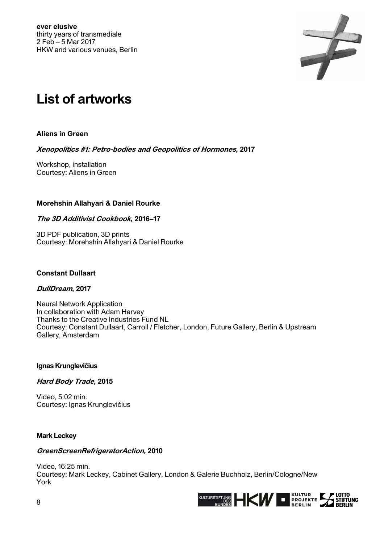

# **List of artworks**

**Aliens in Green** 

**Xenopolitics #1: Petro-bodies and Geopolitics of Hormones, 2017** 

Workshop, installation Courtesy: Aliens in Green

## **Morehshin Allahyari & Daniel Rourke**

#### **The 3D Additivist Cookbook, 2016–17**

3D PDF publication, 3D prints Courtesy: Morehshin Allahyari & Daniel Rourke

#### **Constant Dullaart**

## **DullDream, 2017**

Neural Network Application In collaboration with Adam Harvey Thanks to the Creative Industries Fund NL Courtesy: Constant Dullaart, Carroll / Fletcher, London, Future Gallery, Berlin & Upstream Gallery, Amsterdam

#### **Ignas Krunglevičius**

## **Hard Body Trade, 2015**

Video, 5:02 min. Courtesy: Ignas Krunglevičius

#### **Mark Leckey**

#### **GreenScreenRefrigeratorAction, 2010**

Video, 16:25 min. Courtesy: Mark Leckey, Cabinet Gallery, London & Galerie Buchholz, Berlin/Cologne/New York

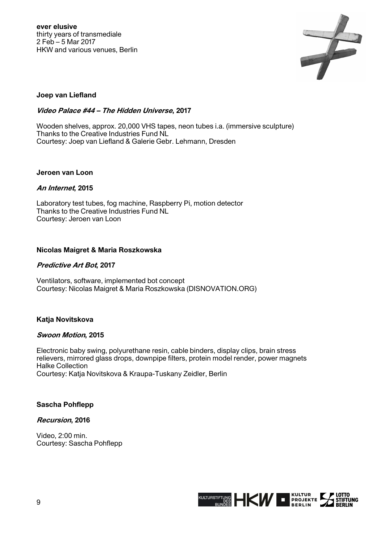

## **Joep van Liefland**

## **Video Palace #44 – The Hidden Universe, 2017**

Wooden shelves, approx. 20,000 VHS tapes, neon tubes i.a. (immersive sculpture) Thanks to the Creative Industries Fund NL Courtesy: Joep van Liefland & Galerie Gebr. Lehmann, Dresden

#### **Jeroen van Loon**

#### **An Internet, 2015**

Laboratory test tubes, fog machine, Raspberry Pi, motion detector Thanks to the Creative Industries Fund NL Courtesy: Jeroen van Loon

#### **Nicolas Maigret & Maria Roszkowska**

## **Predictive Art Bot, 2017**

Ventilators, software, implemented bot concept Courtesy: Nicolas Maigret & Maria Roszkowska (DISNOVATION.ORG)

## **Katja Novitskova**

#### **Swoon Motion, 2015**

Electronic baby swing, polyurethane resin, cable binders, display clips, brain stress relievers, mirrored glass drops, downpipe filters, protein model render, power magnets Halke Collection Courtesy: Katja Novitskova & Kraupa-Tuskany Zeidler, Berlin

#### **Sascha Pohflepp**

#### **Recursion, 2016**

Video, 2:00 min. Courtesy: Sascha Pohflepp

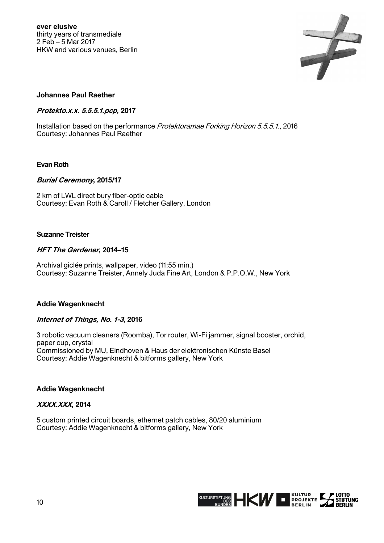

## **Johannes Paul Raether**

#### **Protekto.x.x. 5.5.5.1.pcp, 2017**

Installation based on the performance Protektoramae Forking Horizon 5.5.5.1., 2016 Courtesy: Johannes Paul Raether

## **Evan Roth**

#### **Burial Ceremony, 2015/17**

2 km of LWL direct bury fiber-optic cable Courtesy: Evan Roth & Caroll / Fletcher Gallery, London

#### **Suzanne Treister**

#### **HFT The Gardener, 2014–15**

Archival giclée prints, wallpaper, video (11:55 min.) Courtesy: Suzanne Treister, Annely Juda Fine Art, London & P.P.O.W., New York

#### **Addie Wagenknecht**

## **Internet of Things, No. 1-3, 2016**

3 robotic vacuum cleaners (Roomba), Tor router, Wi-Fi jammer, signal booster, orchid, paper cup, crystal Commissioned by MU, Eindhoven & Haus der elektronischen Künste Basel Courtesy: Addie Wagenknecht & bitforms gallery, New York

#### **Addie Wagenknecht**

## **XXXX.XXX, 2014**

5 custom printed circuit boards, ethernet patch cables, 80/20 aluminium Courtesy: Addie Wagenknecht & bitforms gallery, New York